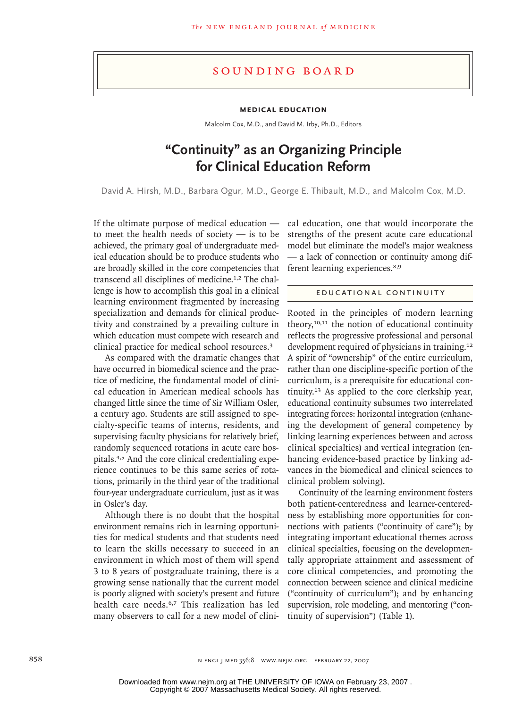## SOUNDING BOARD

#### **Medical Education**

Malcolm Cox, M.D., and David M. Irby, Ph.D., Editors

# **"Continuity" as an Organizing Principle for Clinical Education Reform**

David A. Hirsh, M.D., Barbara Ogur, M.D., George E. Thibault, M.D., and Malcolm Cox, M.D.

If the ultimate purpose of medical education to meet the health needs of society — is to be achieved, the primary goal of undergraduate medical education should be to produce students who are broadly skilled in the core competencies that transcend all disciplines of medicine.1,2 The challenge is how to accomplish this goal in a clinical learning environment fragmented by increasing specialization and demands for clinical productivity and constrained by a prevailing culture in which education must compete with research and clinical practice for medical school resources.<sup>3</sup>

As compared with the dramatic changes that have occurred in biomedical science and the practice of medicine, the fundamental model of clinical education in American medical schools has changed little since the time of Sir William Osler, a century ago. Students are still assigned to specialty-specific teams of interns, residents, and supervising faculty physicians for relatively brief, randomly sequenced rotations in acute care hospitals.4,5 And the core clinical credentialing experience continues to be this same series of rotations, primarily in the third year of the traditional four-year undergraduate curriculum, just as it was in Osler's day.

Although there is no doubt that the hospital environment remains rich in learning opportunities for medical students and that students need to learn the skills necessary to succeed in an environment in which most of them will spend 3 to 8 years of postgraduate training, there is a growing sense nationally that the current model is poorly aligned with society's present and future health care needs.6,7 This realization has led many observers to call for a new model of clinical education, one that would incorporate the strengths of the present acute care educational model but eliminate the model's major weakness — a lack of connection or continuity among different learning experiences.8,9

#### educ ational continuit y

Rooted in the principles of modern learning theory, $10,11$  the notion of educational continuity reflects the progressive professional and personal development required of physicians in training.<sup>12</sup> A spirit of "ownership" of the entire curriculum, rather than one discipline-specific portion of the curriculum, is a prerequisite for educational continuity.13 As applied to the core clerkship year, educational continuity subsumes two interrelated integrating forces: horizontal integration (enhancing the development of general competency by linking learning experiences between and across clinical specialties) and vertical integration (enhancing evidence-based practice by linking advances in the biomedical and clinical sciences to clinical problem solving).

Continuity of the learning environment fosters both patient-centeredness and learner-centeredness by establishing more opportunities for connections with patients ("continuity of care"); by integrating important educational themes across clinical specialties, focusing on the developmentally appropriate attainment and assessment of core clinical competencies, and promoting the connection between science and clinical medicine ("continuity of curriculum"); and by enhancing supervision, role modeling, and mentoring ("continuity of supervision") (Table 1).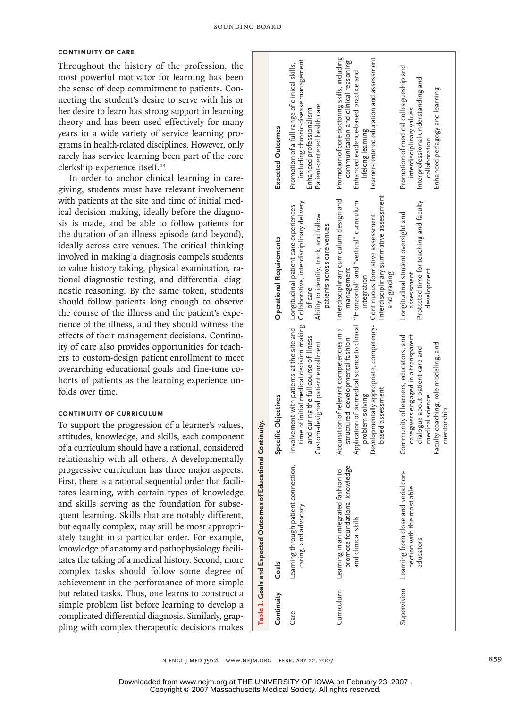## **Continuity of Care**

Throughout the history of the profession, the most powerful motivator for learning has been the sense of deep commitment to patients. Connecting the student's desire to serve with his or her desire to learn has strong support in learning theory and has been used effectively for many years in a wide variety of service learning programs in health-related disciplines. However, only rarely has service learning been part of the core clerkship experience itself.<sup>14</sup>

In order to anchor clinical learning in caregiving, students must have relevant involvement with patients at the site and time of initial medical decision making, ideally before the diagnosis is made, and be able to follow patients for the duration of an illness episode (and beyond), ideally across care venues. The critical thinking involved in making a diagnosis compels students to value history taking, physical examination, rational diagnostic testing, and differential diagnostic reasoning. By the same token, students should follow patients long enough to observe the course of the illness and the patient's experience of the illness, and they should witness the effects of their management decisions. Continuity of care also provides opportunities for teachers to custom-design patient enrollment to meet overarching educational goals and fine-tune cohorts of patients as the learning experience unfolds over time.

#### **Continuity of Curriculum**

To support the progression of a learner's values, attitudes, knowledge, and skills, each component of a curriculum should have a rational, considered relationship with all others. A developmentally progressive curriculum has three major aspects. First, there is a rational sequential order that facilitates learning, with certain types of knowledge and skills serving as the foundation for subsequent learning. Skills that are notably different, but equally complex, may still be most appropriately taught in a particular order. For example, knowledge of anatomy and pathophysiology facilitates the taking of a medical history. Second, more complex tasks should follow some degree of achievement in the performance of more simple but related tasks. Thus, one learns to construct a simple problem list before learning to develop a complicated differential diagnosis. Similarly, grappling with complex therapeutic decisions makes

| Learning through patient connection,<br>promote foundational knowledge<br>Learning in an integrated fashion to<br>Learning from close and serial con-<br>nection with the most able<br>caring, and advocacy<br>and clinical skills<br>educators<br>Goals<br>Curriculum<br>Supervision<br>Continuity<br>Care | Table 1. Goals and Expected Outcomes of Educational Continuity.                                                                                                                                                                                    |                                                                                                                                                                                                                       |                                                                                                                                                                                                 |
|-------------------------------------------------------------------------------------------------------------------------------------------------------------------------------------------------------------------------------------------------------------------------------------------------------------|----------------------------------------------------------------------------------------------------------------------------------------------------------------------------------------------------------------------------------------------------|-----------------------------------------------------------------------------------------------------------------------------------------------------------------------------------------------------------------------|-------------------------------------------------------------------------------------------------------------------------------------------------------------------------------------------------|
|                                                                                                                                                                                                                                                                                                             | Specific Objectives                                                                                                                                                                                                                                | <b>Operational Requirements</b>                                                                                                                                                                                       | Expected Outcomes                                                                                                                                                                               |
|                                                                                                                                                                                                                                                                                                             | time of initial medical decision making<br>and during the full course of illness<br>Custom-designed patient enrollment                                                                                                                             | Collaborative, interdisciplinary delivery<br>Involvement with patients at the site and $\;$ Longitudinal patient care experiences<br>Ability to identify, track, and follow<br>patients across care venues<br>of care | including chronic-disease management<br>Promotion of a full range of clinical skills,<br>Patient-centered health care<br>Enhanced professionalism                                               |
|                                                                                                                                                                                                                                                                                                             | Developmentally appropriate, competency- Continuous formative assessment<br>Application of biomedical science to clinical<br>Acquisition of relevant competencies in a<br>structured, developmental fashion<br>based assessment<br>problem solving | Interdisciplinary summative assessment<br>Interdisciplinary curriculum design and<br>"Horizontal" and "vertical" curriculum<br>management<br>and grading<br>integration                                               | Promotion of core doctoring skills, including<br>Learner-centered education and assessment<br>communication and clinical reasoning<br>Enhanced evidence-based practice and<br>lifelong learning |
|                                                                                                                                                                                                                                                                                                             | Community of learners, educators, and<br>caregivers engaged in a transparent<br>Faculty coaching, role modeling, and<br>dialogue about patient care and<br>medical science<br>mentorship                                                           | Protected time for teaching and faculty<br>Longitudinal student oversight and<br>development<br>assessment                                                                                                            | Promotion of medical colleagueship and<br>Interprofessional understanding and<br>Enhanced pedagogy and learning<br>interdisciplinary values<br>collaboration                                    |

n engl j med 356;8 www.nejm.org february 22, 2007 859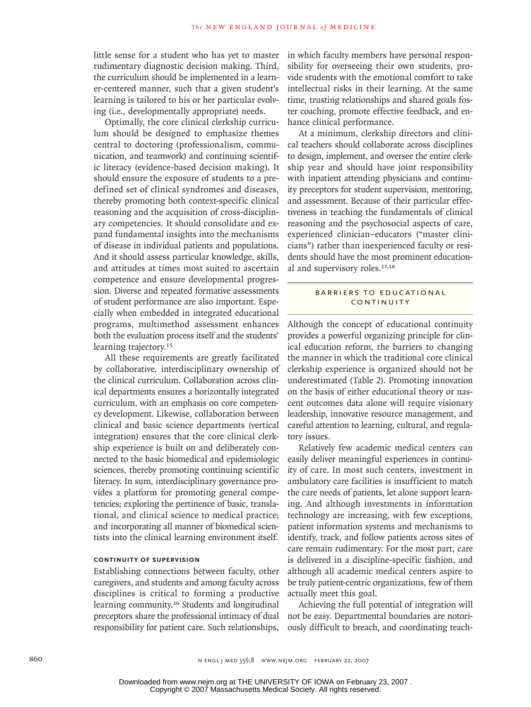little sense for a student who has yet to master rudimentary diagnostic decision making. Third, the curriculum should be implemented in a learner-centered manner, such that a given student's learning is tailored to his or her particular evolving (i.e., developmentally appropriate) needs.

Optimally, the core clinical clerkship curriculum should be designed to emphasize themes central to doctoring (professionalism, communication, and teamwork) and continuing scientific literacy (evidence-based decision making). It should ensure the exposure of students to a predefined set of clinical syndromes and diseases, thereby promoting both context-specific clinical reasoning and the acquisition of cross-disciplinary competencies. It should consolidate and expand fundamental insights into the mechanisms of disease in individual patients and populations. And it should assess particular knowledge, skills, and attitudes at times most suited to ascertain competence and ensure developmental progression. Diverse and repeated formative assessments of student performance are also important. Especially when embedded in integrated educational programs, multimethod assessment enhances both the evaluation process itself and the students' learning trajectory.<sup>15</sup>

All these requirements are greatly facilitated by collaborative, interdisciplinary ownership of the clinical curriculum. Collaboration across clinical departments ensures a horizontally integrated curriculum, with an emphasis on core competency development. Likewise, collaboration between clinical and basic science departments (vertical integration) ensures that the core clinical clerkship experience is built on and deliberately connected to the basic biomedical and epidemiologic sciences, thereby promoting continuing scientific literacy. In sum, interdisciplinary governance provides a platform for promoting general competencies; exploring the pertinence of basic, translational, and clinical science to medical practice; and incorporating all manner of biomedical scientists into the clinical learning environment itself.

## **Continuity of Supervision**

Establishing connections between faculty, other caregivers, and students and among faculty across disciplines is critical to forming a productive learning community.16 Students and longitudinal preceptors share the professional intimacy of dual responsibility for patient care. Such relationships,

in which faculty members have personal responsibility for overseeing their own students, provide students with the emotional comfort to take intellectual risks in their learning. At the same time, trusting relationships and shared goals foster coaching, promote effective feedback, and enhance clinical performance.

At a minimum, clerkship directors and clinical teachers should collaborate across disciplines to design, implement, and oversee the entire clerkship year and should have joint responsibility with inpatient attending physicians and continuity preceptors for student supervision, mentoring, and assessment. Because of their particular effectiveness in teaching the fundamentals of clinical reasoning and the psychosocial aspects of care, experienced clinician–educators ("master clinicians") rather than inexperienced faculty or residents should have the most prominent educational and supervisory roles.17,18

## BARRIERS TO EDUCATIONAL **CONTINUITY**

Although the concept of educational continuity provides a powerful organizing principle for clinical education reform, the barriers to changing the manner in which the traditional core clinical clerkship experience is organized should not be underestimated (Table 2). Promoting innovation on the basis of either educational theory or nascent outcomes data alone will require visionary leadership, innovative resource management, and careful attention to learning, cultural, and regulatory issues.

Relatively few academic medical centers can easily deliver meaningful experiences in continuity of care. In most such centers, investment in ambulatory care facilities is insufficient to match the care needs of patients, let alone support learning. And although investments in information technology are increasing, with few exceptions, patient information systems and mechanisms to identify, track, and follow patients across sites of care remain rudimentary. For the most part, care is delivered in a discipline-specific fashion, and although all academic medical centers aspire to be truly patient-centric organizations, few of them actually meet this goal.

Achieving the full potential of integration will not be easy. Departmental boundaries are notoriously difficult to breach, and coordinating teach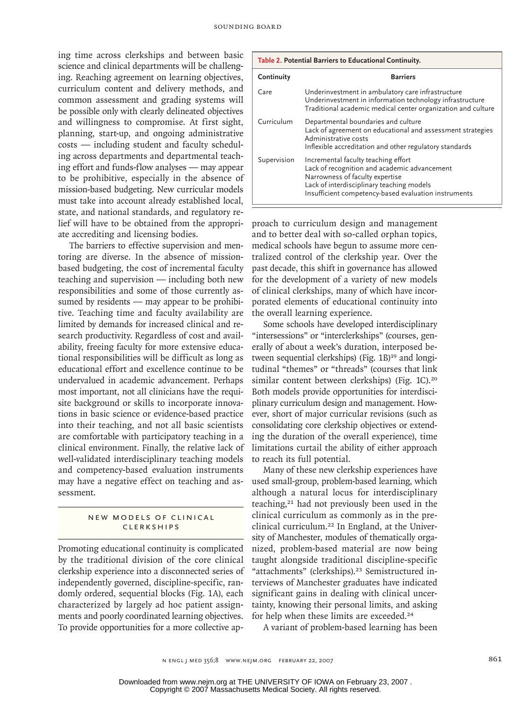ing time across clerkships and between basic science and clinical departments will be challenging. Reaching agreement on learning objectives, curriculum content and delivery methods, and common assessment and grading systems will be possible only with clearly delineated objectives and willingness to compromise. At first sight, planning, start-up, and ongoing administrative costs — including student and faculty scheduling across departments and departmental teaching effort and funds-flow analyses — may appear to be prohibitive, especially in the absence of mission-based budgeting. New curricular models must take into account already established local, state, and national standards, and regulatory relief will have to be obtained from the appropriate accrediting and licensing bodies.

The barriers to effective supervision and mentoring are diverse. In the absence of missionbased budgeting, the cost of incremental faculty teaching and supervision — including both new responsibilities and some of those currently assumed by residents — may appear to be prohibitive. Teaching time and faculty availability are limited by demands for increased clinical and research productivity. Regardless of cost and availability, freeing faculty for more extensive educational responsibilities will be difficult as long as educational effort and excellence continue to be undervalued in academic advancement. Perhaps most important, not all clinicians have the requisite background or skills to incorporate innovations in basic science or evidence-based practice into their teaching, and not all basic scientists are comfortable with participatory teaching in a clinical environment. Finally, the relative lack of well-validated interdisciplinary teaching models and competency-based evaluation instruments may have a negative effect on teaching and assessment.

#### new model s of clinic al clerkships

Promoting educational continuity is complicated by the traditional division of the core clinical clerkship experience into a disconnected series of independently governed, discipline-specific, randomly ordered, sequential blocks (Fig. 1A), each characterized by largely ad hoc patient assignments and poorly coordinated learning objectives. To provide opportunities for a more collective ap-

| Table 2. Potential Barriers to Educational Continuity. |                                                                                                                                                                                                                             |  |
|--------------------------------------------------------|-----------------------------------------------------------------------------------------------------------------------------------------------------------------------------------------------------------------------------|--|
| Continuity                                             | <b>Barriers</b>                                                                                                                                                                                                             |  |
| Care                                                   | Underinvestment in ambulatory care infrastructure<br>Underinvestment in information technology infrastructure<br>Traditional academic medical center organization and culture                                               |  |
| Curriculum                                             | Departmental boundaries and culture<br>Lack of agreement on educational and assessment strategies<br>Administrative costs<br>Inflexible accreditation and other regulatory standards                                        |  |
| Supervision                                            | Incremental faculty teaching effort<br>Lack of recognition and academic advancement<br>Narrowness of faculty expertise<br>Lack of interdisciplinary teaching models<br>Insufficient competency-based evaluation instruments |  |

proach to curriculum design and management and to better deal with so-called orphan topics, medical schools have begun to assume more centralized control of the clerkship year. Over the past decade, this shift in governance has allowed for the development of a variety of new models of clinical clerkships, many of which have incorporated elements of educational continuity into the overall learning experience.

Some schools have developed interdisciplinary "intersessions" or "interclerkships" (courses, generally of about a week's duration, interposed between sequential clerkships) (Fig. 1B) 19 and longitudinal "themes" or "threads" (courses that link similar content between clerkships) (Fig. 1C).<sup>20</sup> Both models provide opportunities for interdisciplinary curriculum design and management. However, short of major curricular revisions (such as consolidating core clerkship objectives or extending the duration of the overall experience), time limitations curtail the ability of either approach to reach its full potential.

Many of these new clerkship experiences have used small-group, problem-based learning, which although a natural locus for interdisciplinary teaching,21 had not previously been used in the clinical curriculum as commonly as in the preclinical curriculum.22 In England, at the University of Manchester, modules of thematically organized, problem-based material are now being taught alongside traditional discipline-specific "attachments" (clerkships).<sup>23</sup> Semistructured interviews of Manchester graduates have indicated significant gains in dealing with clinical uncertainty, knowing their personal limits, and asking for help when these limits are exceeded.<sup>24</sup>

A variant of problem-based learning has been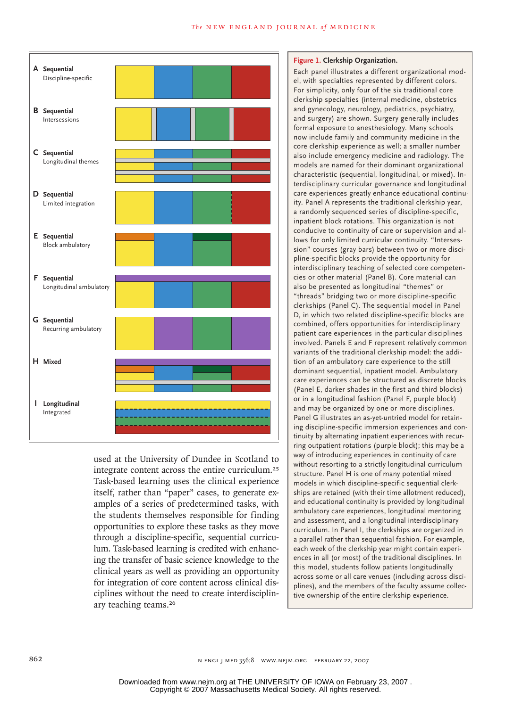

used at the University of Dundee in Scotland to integrate content across the entire curriculum.<sup>25</sup> Task-based learning uses the clinical experience itself, rather than "paper" cases, to generate examples of a series of predetermined tasks, with the students themselves responsible for finding opportunities to explore these tasks as they move through a discipline-specific, sequential curriculum. Task-based learning is credited with enhancing the transfer of basic science knowledge to the clinical years as well as providing an opportunity for integration of core content across clinical disciplines without the need to create interdisciplinary teaching teams.<sup>26</sup>

#### **Figure 1. Clerkship Organization.**

el, with specialties represented by different colors. For simplicity, only four of the six traditional core clerkship specialties (internal medicine, obstetrics and gynecology, neurology, pediatrics, psychiatry, and surgery) are shown. Surgery generally includes formal exposure to anesthesiology. Many schools now include family and community medicine in the core clerkship experience as well; a smaller number also include emergency medicine and radiology. The models are named for their dominant organizational characteristic (sequential, longitudinal, or mixed). Interdisciplinary curricular governance and longitudinal care experiences greatly enhance educational continuity. Panel A represents the traditional clerkship year, a randomly sequenced series of discipline-specific, inpatient block rotations. This organization is not conducive to continuity of care or supervision and allows for only limited curricular continuity. "Intersession" courses (gray bars) between two or more discipline-specific blocks provide the opportunity for interdisciplinary teaching of selected core competencies or other material (Panel B). Core material can also be presented as longitudinal "themes" or "threads" bridging two or more discipline-specific clerkships (Panel C). The sequential model in Panel D, in which two related discipline-specific blocks are combined, offers opportunities for interdisciplinary patient care experiences in the particular disciplines involved. Panels E and F represent relatively common variants of the traditional clerkship model: the addition of an ambulatory care experience to the still dominant sequential, inpatient model. Ambulatory care experiences can be structured as discrete blocks (Panel E, darker shades in the first and third blocks) or in a longitudinal fashion (Panel F, purple block) and may be organized by one or more disciplines. Panel G illustrates an as-yet-untried model for retaining discipline-specific immersion experiences and continuity by alternating inpatient experiences with recurring outpatient rotations (purple block); this may be a way of introducing experiences in continuity of care without resorting to a strictly longitudinal curriculum structure. Panel H is one of many potential mixed models in which discipline-specific sequential clerkships are retained (with their time allotment reduced), and educational continuity is provided by longitudinal ambulatory care experiences, longitudinal mentoring and assessment, and a longitudinal interdisciplinary curriculum. In Panel I, the clerkships are organized in a parallel rather than sequential fashion. For example, each week of the clerkship year might contain experiences in all (or most) of the traditional disciplines. In this model, students follow patients longitudinally across some or all care venues (including across disciplines), and the members of the faculty assume collective ownership of the entire clerkship experience.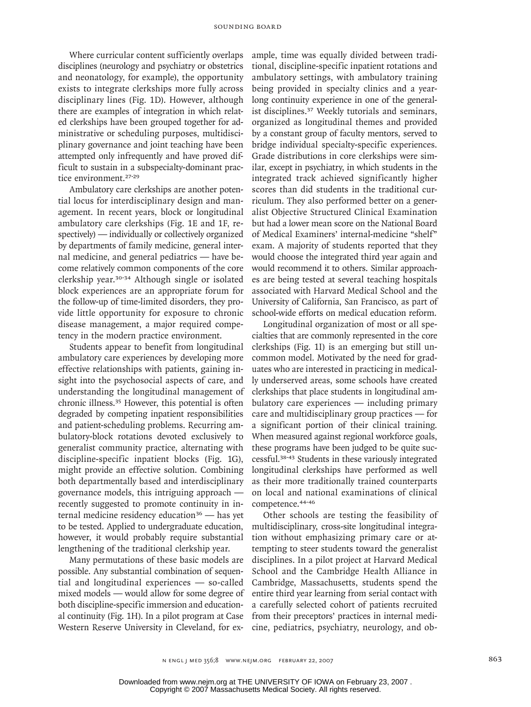Where curricular content sufficiently overlaps disciplines (neurology and psychiatry or obstetrics and neonatology, for example), the opportunity exists to integrate clerkships more fully across disciplinary lines (Fig. 1D). However, although there are examples of integration in which related clerkships have been grouped together for administrative or scheduling purposes, multidisciplinary governance and joint teaching have been attempted only infrequently and have proved difficult to sustain in a subspecialty-dominant practice environment.27-29

Ambulatory care clerkships are another potential locus for interdisciplinary design and management. In recent years, block or longitudinal ambulatory care clerkships (Fig. 1E and 1F, respectively) — individually or collectively organized by departments of family medicine, general internal medicine, and general pediatrics — have become relatively common components of the core clerkship year.30-34 Although single or isolated block experiences are an appropriate forum for the follow-up of time-limited disorders, they provide little opportunity for exposure to chronic disease management, a major required competency in the modern practice environment.

Students appear to benefit from longitudinal ambulatory care experiences by developing more effective relationships with patients, gaining insight into the psychosocial aspects of care, and understanding the longitudinal management of chronic illness.35 However, this potential is often degraded by competing inpatient responsibilities and patient-scheduling problems. Recurring ambulatory-block rotations devoted exclusively to generalist community practice, alternating with discipline-specific inpatient blocks (Fig. 1G), might provide an effective solution. Combining both departmentally based and interdisciplinary governance models, this intriguing approach recently suggested to promote continuity in internal medicine residency education $36$  — has yet to be tested. Applied to undergraduate education, however, it would probably require substantial lengthening of the traditional clerkship year.

Many permutations of these basic models are possible. Any substantial combination of sequential and longitudinal experiences — so-called mixed models — would allow for some degree of both discipline-specific immersion and educational continuity (Fig. 1H). In a pilot program at Case Western Reserve University in Cleveland, for example, time was equally divided between traditional, discipline-specific inpatient rotations and ambulatory settings, with ambulatory training being provided in specialty clinics and a yearlong continuity experience in one of the generalist disciplines.37 Weekly tutorials and seminars, organized as longitudinal themes and provided by a constant group of faculty mentors, served to bridge individual specialty-specific experiences. Grade distributions in core clerkships were similar, except in psychiatry, in which students in the integrated track achieved significantly higher scores than did students in the traditional curriculum. They also performed better on a generalist Objective Structured Clinical Examination but had a lower mean score on the National Board of Medical Examiners' internal-medicine "shelf" exam. A majority of students reported that they would choose the integrated third year again and would recommend it to others. Similar approaches are being tested at several teaching hospitals associated with Harvard Medical School and the University of California, San Francisco, as part of school-wide efforts on medical education reform.

Longitudinal organization of most or all specialties that are commonly represented in the core clerkships (Fig. 1I) is an emerging but still uncommon model. Motivated by the need for graduates who are interested in practicing in medically underserved areas, some schools have created clerkships that place students in longitudinal ambulatory care experiences — including primary care and multidisciplinary group practices — for a significant portion of their clinical training. When measured against regional workforce goals, these programs have been judged to be quite successful.38-43 Students in these variously integrated longitudinal clerkships have performed as well as their more traditionally trained counterparts on local and national examinations of clinical competence.44-46

Other schools are testing the feasibility of multidisciplinary, cross-site longitudinal integration without emphasizing primary care or attempting to steer students toward the generalist disciplines. In a pilot project at Harvard Medical School and the Cambridge Health Alliance in Cambridge, Massachusetts, students spend the entire third year learning from serial contact with a carefully selected cohort of patients recruited from their preceptors' practices in internal medicine, pediatrics, psychiatry, neurology, and ob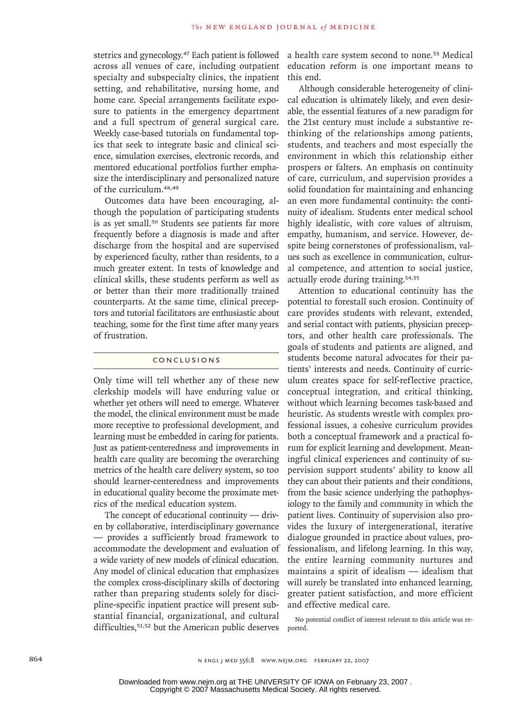stetrics and gynecology.47 Each patient is followed across all venues of care, including outpatient specialty and subspecialty clinics, the inpatient setting, and rehabilitative, nursing home, and home care. Special arrangements facilitate exposure to patients in the emergency department and a full spectrum of general surgical care. Weekly case-based tutorials on fundamental topics that seek to integrate basic and clinical science, simulation exercises, electronic records, and mentored educational portfolios further emphasize the interdisciplinary and personalized nature of the curriculum.48,49

Outcomes data have been encouraging, although the population of participating students is as yet small.<sup>50</sup> Students see patients far more frequently before a diagnosis is made and after discharge from the hospital and are supervised by experienced faculty, rather than residents, to a much greater extent. In tests of knowledge and clinical skills, these students perform as well as or better than their more traditionally trained counterparts. At the same time, clinical preceptors and tutorial facilitators are enthusiastic about teaching, some for the first time after many years of frustration.

#### conclusions

Only time will tell whether any of these new clerkship models will have enduring value or whether yet others will need to emerge. Whatever the model, the clinical environment must be made more receptive to professional development, and learning must be embedded in caring for patients. Just as patient-centeredness and improvements in health care quality are becoming the overarching metrics of the health care delivery system, so too should learner-centeredness and improvements in educational quality become the proximate metrics of the medical education system.

The concept of educational continuity — driven by collaborative, interdisciplinary governance — provides a sufficiently broad framework to accommodate the development and evaluation of a wide variety of new models of clinical education. Any model of clinical education that emphasizes the complex cross-disciplinary skills of doctoring rather than preparing students solely for discipline-specific inpatient practice will present substantial financial, organizational, and cultural difficulties,51,52 but the American public deserves

a health care system second to none.53 Medical education reform is one important means to this end.

Although considerable heterogeneity of clinical education is ultimately likely, and even desirable, the essential features of a new paradigm for the 21st century must include a substantive rethinking of the relationships among patients, students, and teachers and most especially the environment in which this relationship either prospers or falters. An emphasis on continuity of care, curriculum, and supervision provides a solid foundation for maintaining and enhancing an even more fundamental continuity: the continuity of idealism. Students enter medical school highly idealistic, with core values of altruism, empathy, humanism, and service. However, despite being cornerstones of professionalism, values such as excellence in communication, cultural competence, and attention to social justice, actually erode during training.54,55

Attention to educational continuity has the potential to forestall such erosion. Continuity of care provides students with relevant, extended, and serial contact with patients, physician preceptors, and other health care professionals. The goals of students and patients are aligned, and students become natural advocates for their patients' interests and needs. Continuity of curriculum creates space for self-reflective practice, conceptual integration, and critical thinking, without which learning becomes task-based and heuristic. As students wrestle with complex professional issues, a cohesive curriculum provides both a conceptual framework and a practical forum for explicit learning and development. Meaningful clinical experiences and continuity of supervision support students' ability to know all they can about their patients and their conditions, from the basic science underlying the pathophysiology to the family and community in which the patient lives. Continuity of supervision also provides the luxury of intergenerational, iterative dialogue grounded in practice about values, professionalism, and lifelong learning. In this way, the entire learning community nurtures and maintains a spirit of idealism — idealism that will surely be translated into enhanced learning, greater patient satisfaction, and more efficient and effective medical care.

No potential conflict of interest relevant to this article was reported.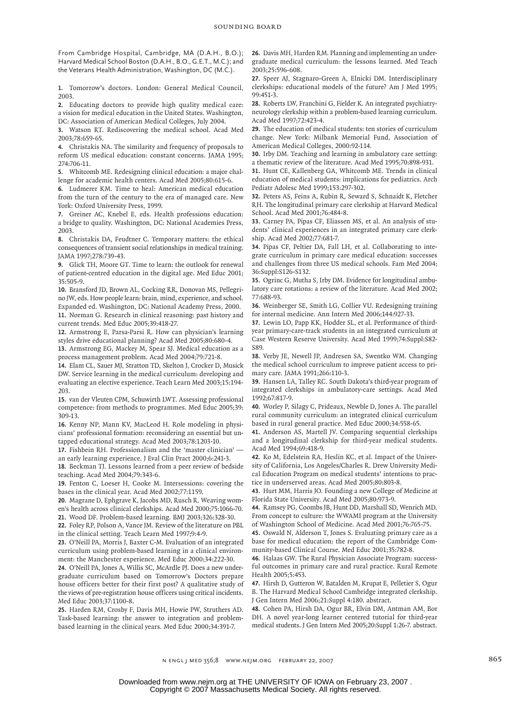From Cambridge Hospital, Cambridge, MA (D.A.H., B.O.); Harvard Medical School Boston (D.A.H., B.O., G.E.T., M.C.); and the Veterans Health Administration, Washington, DC (M.C.).

1. Tomorrow's doctors. London: General Medical Council, 2003.

Educating doctors to provide high quality medical care: **2.** a vision for medical education in the United States. Washington, DC: Association of American Medical Colleges, July 2004.

Watson RT. Rediscovering the medical school. Acad Med **3.** 2003;78:659-65.

Christakis NA. The similarity and frequency of proposals to **4.** reform US medical education: constant concerns. JAMA 1995; 274:706-11.

Whitcomb ME. Redesigning clinical education: a major chal-**5.** lenge for academic health centers. Acad Med 2005;80:615-6.

Ludmerer KM. Time to heal: American medical education **6.** from the turn of the century to the era of managed care. New York: Oxford University Press, 1999.

Greiner AC, Knebel E, eds. Health professions education: **7.** a bridge to quality. Washington, DC: National Academies Press, 2003.

Christakis DA, Feudtner C. Temporary matters: the ethical **8.** consequences of transient social relationships in medical training. JAMA 1997;278:739-43.

Glick TH, Moore GT. Time to learn: the outlook for renewal **9.** of patient-centred education in the digital age. Med Educ 2001; 35:505-9.

10. Bransford JD, Brown AL, Cocking RR, Donovan MS, Pellegrino JW, eds. How people learn: brain, mind, experience, and school. Expanded ed. Washington, DC: National Academy Press, 2000. 11. Norman G. Research in clinical reasoning: past history and current trends. Med Educ 2005;39:418-27.

12. Armstrong E, Parsa-Parsi R. How can physician's learning styles drive educational planning? Acad Med 2005;80:680-4.

13. Armstrong EG, Mackey M, Spear SJ. Medical education as a process management problem. Acad Med 2004;79:721-8.

Elam CL, Sauer MJ, Stratton TD, Skelton J, Crocker D, Musick **14.** DW. Service learning in the medical curriculum: developing and evaluating an elective experience. Teach Learn Med 2003;15:194- 203.

15. van der Vleuten CPM, Schuwirth LWT. Assessing professional competence: from methods to programmes. Med Educ 2005;39: 309-13.

16. Kenny NP, Mann KV, MacLeod H. Role modeling in physicians' professional formation: reconsidering an essential but untapped educational strategy. Acad Med 2003;78:1203-10.

Fishbein RH. Professionalism and the 'master clinician' — **17.** an early learning experience. J Eval Clin Pract 2000;6:241-3.

18. Beckman TJ. Lessons learned from a peer review of bedside teaching. Acad Med 2004;79:343-6.

19. Fenton C, Loeser H, Cooke M. Intersessions: covering the bases in the clinical year. Acad Med 2002;77:1159.

Magrane D, Ephgrave K, Jacobs MD, Rusch R. Weaving wom-**20.** en's health across clinical clerkships. Acad Med 2000;75:1066-70. Wood DF. Problem-based learning. BMJ 2003;326:328-30. **21.**

Foley RP, Polson A, Vance JM. Review of the literature on PBL **22.**

in the clinical setting. Teach Learn Med 1997;9:4-9.

23. O'Neill PA, Morris J, Baxter C-M. Evaluation of an integrated curriculum using problem-based learning in a clinical environment: the Manchester experience. Med Educ 2000;34:222-30.

O'Neill PA, Jones A, Willis SC, McArdle PJ. Does a new under-**24.** graduate curriculum based on Tomorrow's Doctors prepare house officers better for their first post? A qualitative study of the views of pre-registration house officers using critical incidents. Med Educ 2003;37:1100-8.

Harden RM, Crosby F, Davis MH, Howie PW, Struthers AD. **25.** Task-based learning: the answer to integration and problembased learning in the clinical years. Med Educ 2000;34:391-7.

**26.** Davis MH, Harden RM. Planning and implementing an undergraduate medical curriculum: the lessons learned. Med Teach 2003;25:596-608.

27. Speer AJ, Stagnaro-Green A, Elnicki DM. Interdisciplinary clerkships: educational models of the future? Am J Med 1995; 99:451-3.

Roberts LW, Franchini G, Fielder K. An integrated psychiatry-**28.** neurology clerkship within a problem-based learning curriculum. Acad Med 1997;72:423-4.

The education of medical students: ten stories of curriculum **29.** change. New York: Milbank Memorial Fund, Association of American Medical Colleges, 2000:92-114.

**30.** Irby DM. Teaching and learning in ambulatory care setting: a thematic review of the literature. Acad Med 1995;70:898-931.

**31.** Hunt CE, Kallenberg GA, Whitcomb ME. Trends in clinical education of medical students: implications for pediatrics. Arch Pediatr Adolesc Med 1999;153:297-302.

**32.** Peters AS, Feins A, Rubin R, Seward S, Schnaidt K, Fletcher RH. The longitudinal primary care clerkship at Harvard Medical School. Acad Med 2001;76:484-8.

33. Carney PA, Pipas CF, Eliassen MS, et al. An analysis of students' clinical experiences in an integrated primary care clerkship. Acad Med 2002;77:681-7.

34. Pipas CF, Peltier DA, Fall LH, et al. Collaborating to integrate curriculum in primary care medical education: successes and challenges from three US medical schools. Fam Med 2004; 36:Suppl:S126-S132.

**35.** Ogrinc G, Mutha S, Irby DM. Evidence for longitudinal ambulatory care rotations: a review of the literature. Acad Med 2002; 77:688-93.

36. Weinberger SE, Smith LG, Collier VU. Redesigning training for internal medicine. Ann Intern Med 2006;144:927-33.

**37.** Lewin LO, Papp KK, Hodder SL, et al. Performance of thirdyear primary-care-track students in an integrated curriculum at Case Western Reserve University. Acad Med 1999;74:Suppl:S82- S89.

38. Verby JE, Newell JP, Andresen SA, Swentko WM. Changing the medical school curriculum to improve patient access to primary care. JAMA 1991;266:110-3.

Hansen LA, Talley RC. South Dakota's third-year program of **39.** integrated clerkships in ambulatory-care settings. Acad Med 1992;67:817-9.

Worley P, Silagy C, Prideaux, Newble D, Jones A. The parallel **40.** rural community curriculum: an integrated clinical curriculum based in rural general practice. Med Educ 2000;34:558-65.

Anderson AS, Martell JV. Comparing sequential clerkships **41.** and a longitudinal clerkship for third-year medical students. Acad Med 1994;69:418-9.

**42.** Ko M, Edelstein RA, Heslin KC, et al. Impact of the University of California, Los Angeles/Charles R. Drew University Medical Education Program on medical students' intentions to practice in underserved areas. Acad Med 2005;80:803-8.

Hurt MM, Harris JO. Founding a new College of Medicine at **43.** Florida State University. Acad Med 2005;80:973-9.

Ramsey PG, Coombs JB, Hunt DD, Marshall SD, Wenrich MD. **44.** From concept to culture: the WWAMI program at the University of Washington School of Medicine. Acad Med 2001;76:765-75.

45. Oswald N, Alderson T, Jones S. Evaluating primary care as a base for medical education: the report of the Cambridge Community-based Clinical Course. Med Educ 2001;35:782-8.

46. Halaas GW. The Rural Physician Associate Program: successful outcomes in primary care and rural practice. Rural Remote Health 2005;5:453.

47. Hirsh D, Gutteron W, Batalden M, Krupat E, Pelletier S, Ogur B. The Harvard Medical School Cambridge integrated clerkship. J Gen Intern Med 2006;21:Suppl 4:180. abstract.

Cohen PA, Hirsh DA, Ogur BR, Elvin DM, Antman AM, Bor **48.** DH. A novel year-long learner centered tutorial for third-year medical students. J Gen Intern Med 2005;20:Suppl 1:26-7. abstract.